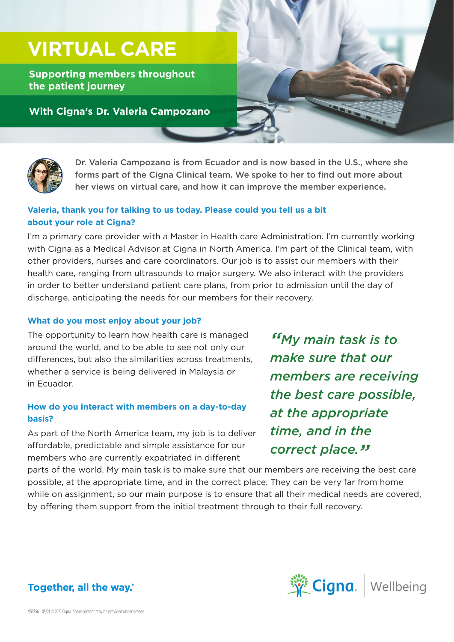# **VIRTUAL CARE**

**Supporting members throughout the patient journey**

### **With Cigna's Dr. Valeria Campozano**



Dr. Valeria Campozano is from Ecuador and is now based in the U.S., where she forms part of the Cigna Clinical team. We spoke to her to find out more about her views on virtual care, and how it can improve the member experience.

#### **Valeria, thank you for talking to us today. Please could you tell us a bit about your role at Cigna?**

I'm a primary care provider with a Master in Health care Administration. I'm currently working with Cigna as a Medical Advisor at Cigna in North America. I'm part of the Clinical team, with other providers, nurses and care coordinators. Our job is to assist our members with their health care, ranging from ultrasounds to major surgery. We also interact with the providers in order to better understand patient care plans, from prior to admission until the day of discharge, anticipating the needs for our members for their recovery.

#### **What do you most enjoy about your job?**

The opportunity to learn how health care is managed around the world, and to be able to see not only our differences, but also the similarities across treatments, whether a service is being delivered in Malaysia or in Ecuador.

#### **How do you interact with members on a day-to-day basis?**

As part of the North America team, my job is to deliver affordable, predictable and simple assistance for our members who are currently expatriated in different

*"My main task is to make sure that our members are receiving the best care possible, at the appropriate time, and in the correct place."*

parts of the world. My main task is to make sure that our members are receiving the best care possible, at the appropriate time, and in the correct place. They can be very far from home while on assignment, so our main purpose is to ensure that all their medical needs are covered, by offering them support from the initial treatment through to their full recovery.



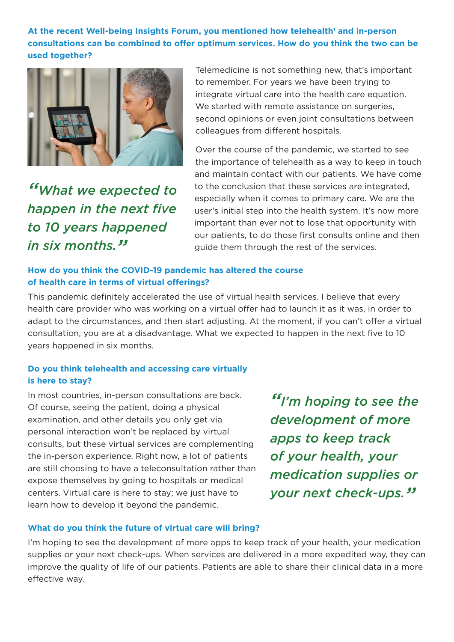At the recent Well-being Insights Forum, you mentioned how telehealth<sup>1</sup> and in-person **consultations can be combined to offer optimum services. How do you think the two can be used together?**



*"What we expected to happen in the next five to 10 years happened in six months."*

Telemedicine is not something new, that's important to remember. For years we have been trying to integrate virtual care into the health care equation. We started with remote assistance on surgeries, second opinions or even joint consultations between colleagues from different hospitals.

Over the course of the pandemic, we started to see the importance of telehealth as a way to keep in touch and maintain contact with our patients. We have come to the conclusion that these services are integrated, especially when it comes to primary care. We are the user's initial step into the health system. It's now more important than ever not to lose that opportunity with our patients, to do those first consults online and then guide them through the rest of the services.

#### **How do you think the COVID-19 pandemic has altered the course of health care in terms of virtual offerings?**

This pandemic definitely accelerated the use of virtual health services. I believe that every health care provider who was working on a virtual offer had to launch it as it was, in order to adapt to the circumstances, and then start adjusting. At the moment, if you can't offer a virtual consultation, you are at a disadvantage. What we expected to happen in the next five to 10 years happened in six months.

#### **Do you think telehealth and accessing care virtually is here to stay?**

In most countries, in-person consultations are back. Of course, seeing the patient, doing a physical examination, and other details you only get via personal interaction won't be replaced by virtual consults, but these virtual services are complementing the in-person experience. Right now, a lot of patients are still choosing to have a teleconsultation rather than expose themselves by going to hospitals or medical centers. Virtual care is here to stay; we just have to learn how to develop it beyond the pandemic.

*"I'm hoping to see the development of more apps to keep track of your health, your medication supplies or your next check-ups."*

#### **What do you think the future of virtual care will bring?**

I'm hoping to see the development of more apps to keep track of your health, your medication supplies or your next check-ups. When services are delivered in a more expedited way, they can improve the quality of life of our patients. Patients are able to share their clinical data in a more effective way.